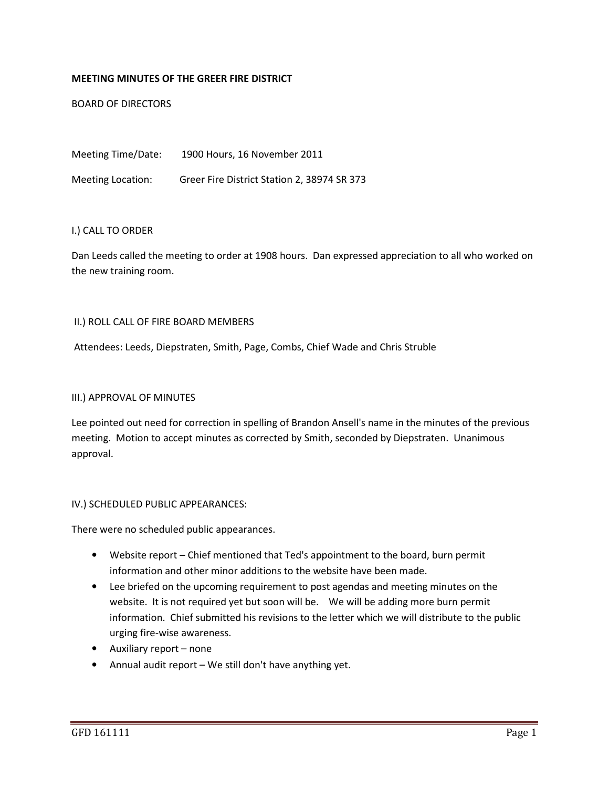## MEETING MINUTES OF THE GREER FIRE DISTRICT

BOARD OF DIRECTORS

Meeting Time/Date: 1900 Hours, 16 November 2011 Meeting Location: Greer Fire District Station 2, 38974 SR 373

### I.) CALL TO ORDER

Dan Leeds called the meeting to order at 1908 hours. Dan expressed appreciation to all who worked on the new training room.

### II.) ROLL CALL OF FIRE BOARD MEMBERS

Attendees: Leeds, Diepstraten, Smith, Page, Combs, Chief Wade and Chris Struble

#### III.) APPROVAL OF MINUTES

Lee pointed out need for correction in spelling of Brandon Ansell's name in the minutes of the previous meeting. Motion to accept minutes as corrected by Smith, seconded by Diepstraten. Unanimous approval.

#### IV.) SCHEDULED PUBLIC APPEARANCES:

There were no scheduled public appearances.

- Website report Chief mentioned that Ted's appointment to the board, burn permit information and other minor additions to the website have been made.
- Lee briefed on the upcoming requirement to post agendas and meeting minutes on the website. It is not required yet but soon will be. We will be adding more burn permit information. Chief submitted his revisions to the letter which we will distribute to the public urging fire-wise awareness.
- Auxiliary report none
- Annual audit report We still don't have anything yet.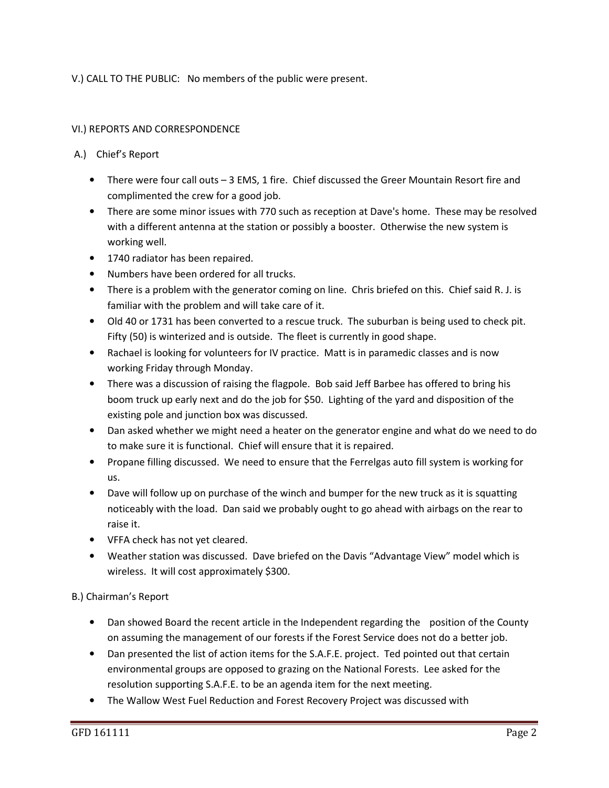V.) CALL TO THE PUBLIC: No members of the public were present.

## VI.) REPORTS AND CORRESPONDENCE

## A.) Chief's Report

- There were four call outs 3 EMS, 1 fire. Chief discussed the Greer Mountain Resort fire and complimented the crew for a good job.
- There are some minor issues with 770 such as reception at Dave's home. These may be resolved with a different antenna at the station or possibly a booster. Otherwise the new system is working well.
- 1740 radiator has been repaired.
- Numbers have been ordered for all trucks.
- There is a problem with the generator coming on line. Chris briefed on this. Chief said R. J. is familiar with the problem and will take care of it.
- Old 40 or 1731 has been converted to a rescue truck. The suburban is being used to check pit. Fifty (50) is winterized and is outside. The fleet is currently in good shape.
- Rachael is looking for volunteers for IV practice. Matt is in paramedic classes and is now working Friday through Monday.
- There was a discussion of raising the flagpole. Bob said Jeff Barbee has offered to bring his boom truck up early next and do the job for \$50. Lighting of the yard and disposition of the existing pole and junction box was discussed.
- Dan asked whether we might need a heater on the generator engine and what do we need to do to make sure it is functional. Chief will ensure that it is repaired.
- Propane filling discussed. We need to ensure that the Ferrelgas auto fill system is working for us.
- Dave will follow up on purchase of the winch and bumper for the new truck as it is squatting noticeably with the load. Dan said we probably ought to go ahead with airbags on the rear to raise it.
- VFFA check has not yet cleared.
- Weather station was discussed. Dave briefed on the Davis "Advantage View" model which is wireless. It will cost approximately \$300.

# B.) Chairman's Report

- Dan showed Board the recent article in the Independent regarding the position of the County on assuming the management of our forests if the Forest Service does not do a better job.
- Dan presented the list of action items for the S.A.F.E. project. Ted pointed out that certain environmental groups are opposed to grazing on the National Forests. Lee asked for the resolution supporting S.A.F.E. to be an agenda item for the next meeting.
- The Wallow West Fuel Reduction and Forest Recovery Project was discussed with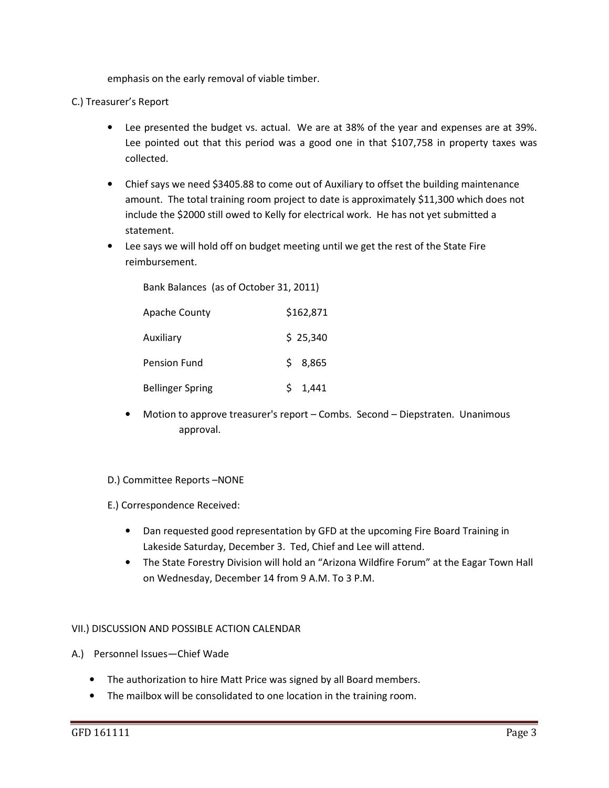emphasis on the early removal of viable timber.

## C.) Treasurer's Report

- Lee presented the budget vs. actual. We are at 38% of the year and expenses are at 39%. Lee pointed out that this period was a good one in that \$107,758 in property taxes was collected.
- Chief says we need \$3405.88 to come out of Auxiliary to offset the building maintenance amount. The total training room project to date is approximately \$11,300 which does not include the \$2000 still owed to Kelly for electrical work. He has not yet submitted a statement.
- Lee says we will hold off on budget meeting until we get the rest of the State Fire reimbursement.

Bank Balances (as of October 31, 2011)

| <b>Apache County</b>    | \$162,871 |
|-------------------------|-----------|
| Auxiliary               | \$25,340  |
| Pension Fund            | \$8,865   |
| <b>Bellinger Spring</b> | 1,441     |

• Motion to approve treasurer's report – Combs. Second – Diepstraten. Unanimous approval.

## D.) Committee Reports –NONE

E.) Correspondence Received:

- Dan requested good representation by GFD at the upcoming Fire Board Training in Lakeside Saturday, December 3. Ted, Chief and Lee will attend.
- The State Forestry Division will hold an "Arizona Wildfire Forum" at the Eagar Town Hall on Wednesday, December 14 from 9 A.M. To 3 P.M.

## VII.) DISCUSSION AND POSSIBLE ACTION CALENDAR

- A.) Personnel Issues—Chief Wade
	- The authorization to hire Matt Price was signed by all Board members.
	- The mailbox will be consolidated to one location in the training room.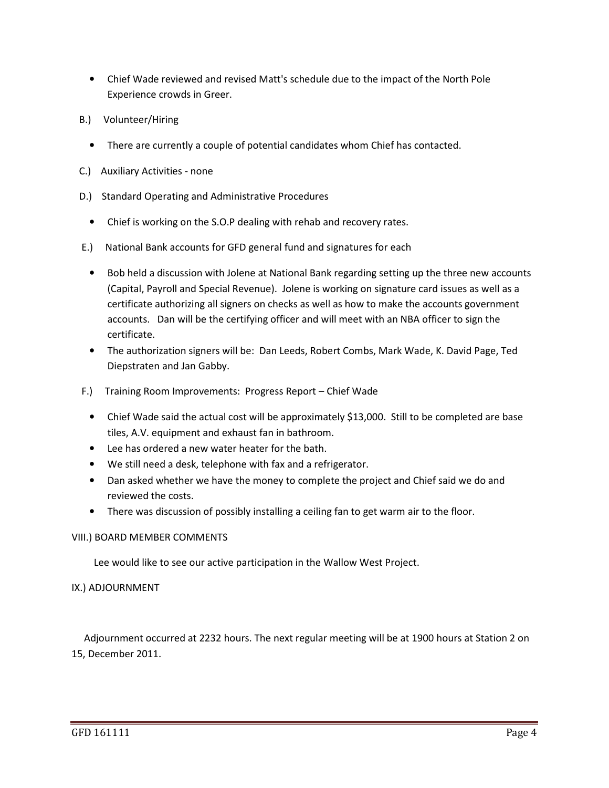- Chief Wade reviewed and revised Matt's schedule due to the impact of the North Pole Experience crowds in Greer.
- B.) Volunteer/Hiring
	- There are currently a couple of potential candidates whom Chief has contacted.
- C.) Auxiliary Activities none
- D.) Standard Operating and Administrative Procedures
	- Chief is working on the S.O.P dealing with rehab and recovery rates.
- E.) National Bank accounts for GFD general fund and signatures for each
	- Bob held a discussion with Jolene at National Bank regarding setting up the three new accounts (Capital, Payroll and Special Revenue). Jolene is working on signature card issues as well as a certificate authorizing all signers on checks as well as how to make the accounts government accounts. Dan will be the certifying officer and will meet with an NBA officer to sign the certificate.
	- The authorization signers will be: Dan Leeds, Robert Combs, Mark Wade, K. David Page, Ted Diepstraten and Jan Gabby.
- F.) Training Room Improvements: Progress Report Chief Wade
	- Chief Wade said the actual cost will be approximately \$13,000. Still to be completed are base tiles, A.V. equipment and exhaust fan in bathroom.
	- Lee has ordered a new water heater for the bath.
	- We still need a desk, telephone with fax and a refrigerator.
	- Dan asked whether we have the money to complete the project and Chief said we do and reviewed the costs.
	- There was discussion of possibly installing a ceiling fan to get warm air to the floor.

# VIII.) BOARD MEMBER COMMENTS

Lee would like to see our active participation in the Wallow West Project.

# IX.) ADJOURNMENT

 Adjournment occurred at 2232 hours. The next regular meeting will be at 1900 hours at Station 2 on 15, December 2011.